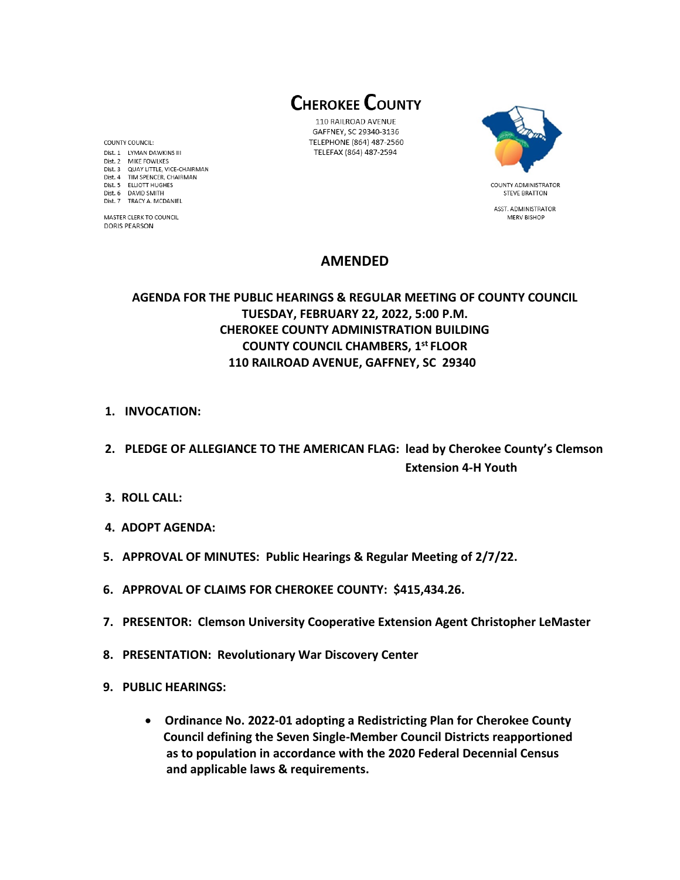**CHEROKEE COUNTY** 

110 RAILROAD AVENUE GAFFNEY, SC 29340-3136 TELEPHONE (864) 487-2560 TELEFAX (864) 487-2594



ASST. ADMINISTRATOR MERV BISHOP

# **AMENDED**

### **AGENDA FOR THE PUBLIC HEARINGS & REGULAR MEETING OF COUNTY COUNCIL TUESDAY, FEBRUARY 22, 2022, 5:00 P.M. CHEROKEE COUNTY ADMINISTRATION BUILDING COUNTY COUNCIL CHAMBERS, 1 st FLOOR 110 RAILROAD AVENUE, GAFFNEY, SC 29340**

- **1. INVOCATION:**
- **2. PLEDGE OF ALLEGIANCE TO THE AMERICAN FLAG: lead by Cherokee County's Clemson Extension 4-H Youth**
- **3. ROLL CALL:**
- **4. ADOPT AGENDA:**
- **5. APPROVAL OF MINUTES: Public Hearings & Regular Meeting of 2/7/22.**
- **6. APPROVAL OF CLAIMS FOR CHEROKEE COUNTY: \$415,434.26.**
- **7. PRESENTOR: Clemson University Cooperative Extension Agent Christopher LeMaster**
- **8. PRESENTATION: Revolutionary War Discovery Center**
- **9. PUBLIC HEARINGS:** 
	- **Ordinance No. 2022-01 adopting a Redistricting Plan for Cherokee County Council defining the Seven Single-Member Council Districts reapportioned as to population in accordance with the 2020 Federal Decennial Census and applicable laws & requirements.**

COUNTY COUNCIL: Dist. 1 LYMAN DAWKINS III Dist. 2 MIKE FOWLKES Dist. 3 QUAY LITTLE, VICE-CHAIRMAN Dist. 4 TIM SPENCER, CHAIRMAN Dist. 5 ELLIOTT HUGHES Dist. 6 DAVID SMITH Dist. 7 TRACY A. MCDANIEL

MASTER CLERK TO COUNCIL **DORIS PEARSON**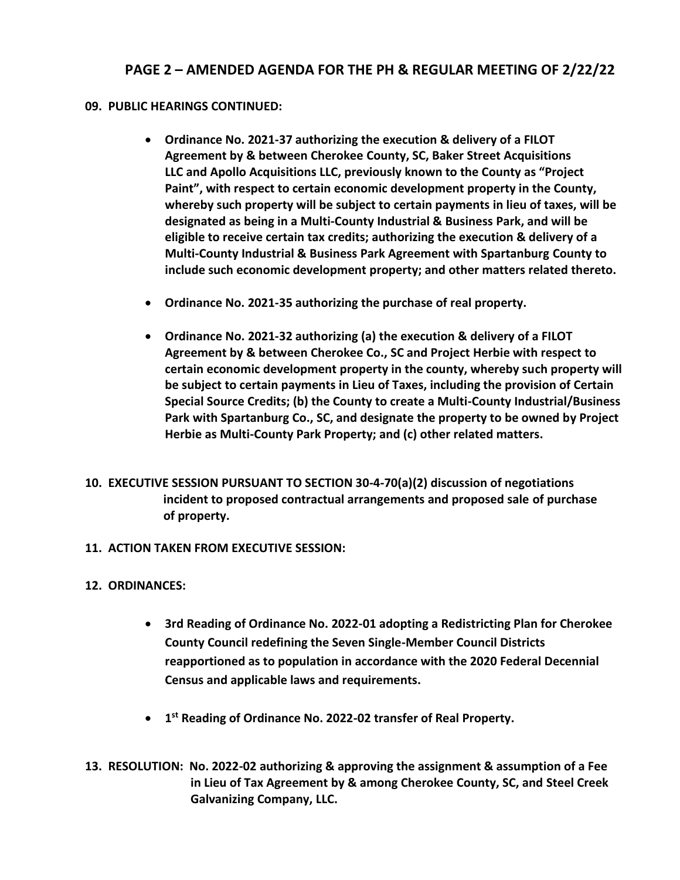## **PAGE 2 – AMENDED AGENDA FOR THE PH & REGULAR MEETING OF 2/22/22**

#### **09. PUBLIC HEARINGS CONTINUED:**

- **Ordinance No. 2021-37 authorizing the execution & delivery of a FILOT Agreement by & between Cherokee County, SC, Baker Street Acquisitions LLC and Apollo Acquisitions LLC, previously known to the County as "Project Paint", with respect to certain economic development property in the County, whereby such property will be subject to certain payments in lieu of taxes, will be designated as being in a Multi-County Industrial & Business Park, and will be eligible to receive certain tax credits; authorizing the execution & delivery of a Multi-County Industrial & Business Park Agreement with Spartanburg County to include such economic development property; and other matters related thereto.**
- **Ordinance No. 2021-35 authorizing the purchase of real property.**
- **Ordinance No. 2021-32 authorizing (a) the execution & delivery of a FILOT Agreement by & between Cherokee Co., SC and Project Herbie with respect to certain economic development property in the county, whereby such property will be subject to certain payments in Lieu of Taxes, including the provision of Certain Special Source Credits; (b) the County to create a Multi-County Industrial/Business Park with Spartanburg Co., SC, and designate the property to be owned by Project Herbie as Multi-County Park Property; and (c) other related matters.**
- **10. EXECUTIVE SESSION PURSUANT TO SECTION 30-4-70(a)(2) discussion of negotiations incident to proposed contractual arrangements and proposed sale of purchase of property.**
- **11. ACTION TAKEN FROM EXECUTIVE SESSION:**
- **12. ORDINANCES:**
	- **3rd Reading of Ordinance No. 2022-01 adopting a Redistricting Plan for Cherokee County Council redefining the Seven Single-Member Council Districts reapportioned as to population in accordance with the 2020 Federal Decennial Census and applicable laws and requirements.**
	- **1 st Reading of Ordinance No. 2022-02 transfer of Real Property.**
- **13. RESOLUTION: No. 2022-02 authorizing & approving the assignment & assumption of a Fee in Lieu of Tax Agreement by & among Cherokee County, SC, and Steel Creek Galvanizing Company, LLC.**